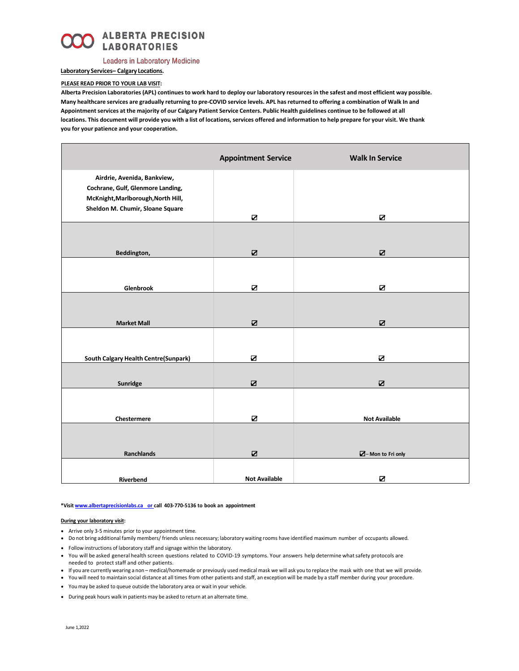

## **Leaders in Laboratory Medicine**

### **Laboratory Services– Calgary Locations.**

## **PLEASE READ PRIOR TO YOUR LAB VISIT:**

**Alberta Precision Laboratories (APL) continues to work hard to deploy our laboratory resources in the safest and most efficient way possible. Many healthcare services are gradually returning to pre-COVID service levels. APL has returned to offering a combination of Walk In and Appointment services at the majority of our Calgary Patient Service Centers. Public Health guidelines continue to be followed at all locations. This document will provide you with a list of locations, services offered and information to help prepare for your visit. We thank you for your patience and your cooperation.**

|                                                                                                                                            | <b>Appointment Service</b> | <b>Walk In Service</b>    |
|--------------------------------------------------------------------------------------------------------------------------------------------|----------------------------|---------------------------|
| Airdrie, Avenida, Bankview,<br>Cochrane, Gulf, Glenmore Landing,<br>McKnight, Marlborough, North Hill,<br>Sheldon M. Chumir, Sloane Square |                            |                           |
|                                                                                                                                            | Ø                          | N                         |
| Beddington,                                                                                                                                | N                          | ☑                         |
|                                                                                                                                            |                            |                           |
| Glenbrook                                                                                                                                  | N                          | $\blacksquare$            |
| <b>Market Mall</b>                                                                                                                         | N                          | N                         |
| South Calgary Health Centre(Sunpark)                                                                                                       | Ø                          | $\boldsymbol{\mathsf{z}}$ |
|                                                                                                                                            |                            |                           |
| Sunridge                                                                                                                                   | ☑                          | $\mathbf Z$               |
| Chestermere                                                                                                                                | N                          | <b>Not Available</b>      |
|                                                                                                                                            |                            |                           |
| Ranchlands                                                                                                                                 | N                          | $\n  A$ - Mon to Fri only |
| Riverbend                                                                                                                                  | <b>Not Available</b>       | $\blacksquare$            |

#### **\*Visit www.albertaprecisionlabs.ca or call 403-770-5136 to book an appointment**

#### **During your laboratory visit:**

- Arrive only 3-5 minutes prior to your appointment time.
- Do not bring additional family members/ friends unless necessary; laboratory waiting rooms have identified maximum number of occupants allowed.
- Follow instructions of laboratory staff and signage within the laboratory.
- You will be asked general health screen questions related to COVID-19 symptoms. Your answers help determine whatsafety protocols are
- needed to protect staff and other patients. • If you are currently wearing a non – medical/homemade or previously used medical mask we will ask you to replace the mask with one that we will provide.
- You will need to maintain social distance at all times from other patients and staff, an exception will be made by a staff member during your procedure.
- You may be asked to queue outside the laboratory area or wait in your vehicle.
- During peak hours walk in patients may be asked to return at an alternate time.